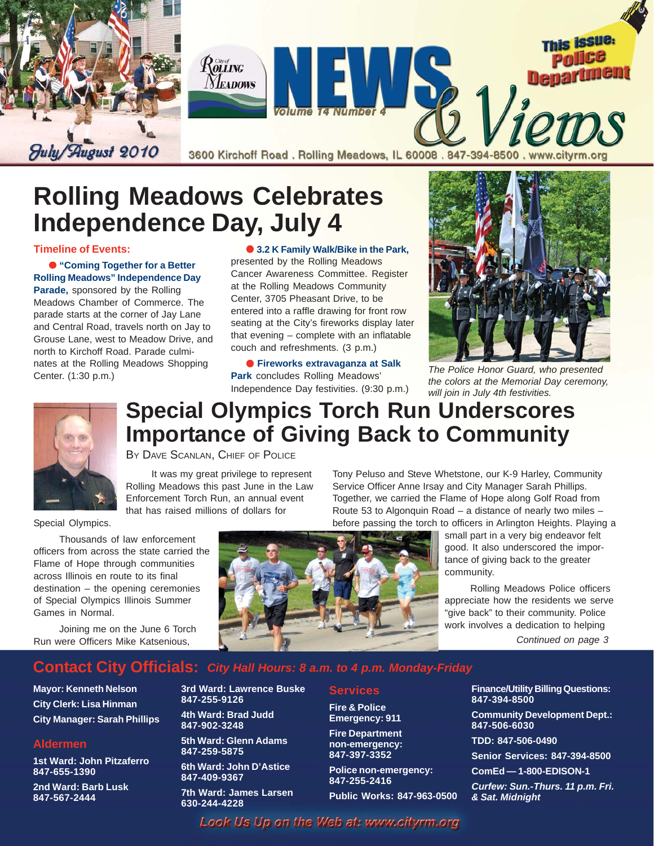

# **Rolling Meadows Celebrates Independence Day, July 4**

**Timeline of Events:**

● **"Coming Together for a Better Rolling Meadows" Independence Day Parade,** sponsored by the Rolling Meadows Chamber of Commerce. The parade starts at the corner of Jay Lane and Central Road, travels north on Jay to Grouse Lane, west to Meadow Drive, and north to Kirchoff Road. Parade culminates at the Rolling Meadows Shopping Center. (1:30 p.m.)

Thousands of law enforcement

Joining me on the June 6 Torch Run were Officers Mike Katsenious,

Flame of Hope through communities across Illinois en route to its final destination – the opening ceremonies of Special Olympics Illinois Summer

● **3.2 K Family Walk/Bike in the Park,** presented by the Rolling Meadows Cancer Awareness Committee. Register at the Rolling Meadows Community Center, 3705 Pheasant Drive, to be entered into a raffle drawing for front row seating at the City's fireworks display later that evening – complete with an inflatable couch and refreshments. (3 p.m.)

● **Fireworks extravaganza at Salk Park** concludes Rolling Meadows' Independence Day festivities. (9:30 p.m.)



*The Police Honor Guard, who presented the colors at the Memorial Day ceremony, will join in July 4th festivities.*



Special Olympics.

Games in Normal.

## **Special Olympics Torch Run Underscores Importance of Giving Back to Community**

BY DAVE SCANLAN, CHIEF OF POLICE

It was my great privilege to represent Rolling Meadows this past June in the Law Enforcement Torch Run, an annual event that has raised millions of dollars for

Tony Peluso and Steve Whetstone, our K-9 Harley, Community Service Officer Anne Irsay and City Manager Sarah Phillips. Together, we carried the Flame of Hope along Golf Road from Route 53 to Algonquin Road – a distance of nearly two miles – before passing the torch to officers in Arlington Heights. Playing a

> small part in a very big endeavor felt good. It also underscored the importance of giving back to the greater community.

Rolling Meadows Police officers appreciate how the residents we serve "give back" to their community. Police work involves a dedication to helping

*Continued on page 3*

#### **Contact City Officials:** *City Hall Hours: 8 a.m. to 4 p.m. Monday-Friday*

**3rd Ward: Lawrence Buske**

**847-255-9126**

**847-259-5875**

**847-409-9367**

**630-244-4228**

**4th Ward: Brad Judd 847-902-3248**

**5th Ward: Glenn Adams**

**6th Ward: John D'Astice**

**7th Ward: James Larsen**

**Mayor: Kenneth Nelson City Clerk: Lisa Hinman City Manager: Sarah Phillips**

#### **Aldermen**

**1st Ward: John Pitzaferro 847-655-1390**

**2nd Ward: Barb Lusk 847-567-2444**



**Services Fire & Police Emergency: 911 Fire Department non-emergency: 847-397-3352**

**Police non-emergency:**

**Public Works: 847-963-0500**

**847-255-2416**

**Finance/Utility Billing Questions: 847-394-8500**

**Community Development Dept.: 847-506-6030**

**TDD: 847-506-0490**

**Senior Services: 847-394-8500**

**ComEd — 1-800-EDISON-1**

*Curfew: Sun.-Thurs. 11 p.m. Fri. & Sat. Midnight*

Look Us Up on the Web at: www.cityrm.org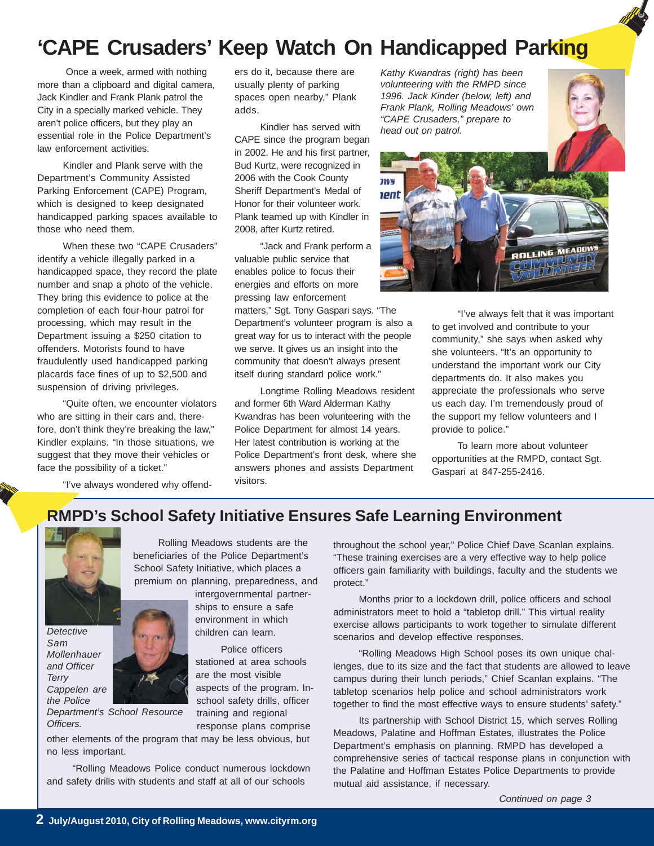# **'CAPE Crusaders' Keep Watch On Handicapped Parking**

 Once a week, armed with nothing more than a clipboard and digital camera, Jack Kindler and Frank Plank patrol the City in a specially marked vehicle. They aren't police officers, but they play an essential role in the Police Department's law enforcement activities.

Kindler and Plank serve with the Department's Community Assisted Parking Enforcement (CAPE) Program, which is designed to keep designated handicapped parking spaces available to those who need them.

When these two "CAPE Crusaders" identify a vehicle illegally parked in a handicapped space, they record the plate number and snap a photo of the vehicle. They bring this evidence to police at the completion of each four-hour patrol for processing, which may result in the Department issuing a \$250 citation to offenders. Motorists found to have fraudulently used handicapped parking placards face fines of up to \$2,500 and suspension of driving privileges.

"Quite often, we encounter violators who are sitting in their cars and, therefore, don't think they're breaking the law," Kindler explains. "In those situations, we suggest that they move their vehicles or face the possibility of a ticket."

"I've always wondered why offend-

ers do it, because there are usually plenty of parking spaces open nearby," Plank adds.

Kindler has served with CAPE since the program began in 2002. He and his first partner, Bud Kurtz, were recognized in 2006 with the Cook County Sheriff Department's Medal of Honor for their volunteer work. Plank teamed up with Kindler in 2008, after Kurtz retired.

"Jack and Frank perform a valuable public service that enables police to focus their energies and efforts on more pressing law enforcement

matters," Sgt. Tony Gaspari says. "The Department's volunteer program is also a great way for us to interact with the people we serve. It gives us an insight into the community that doesn't always present itself during standard police work."

Longtime Rolling Meadows resident and former 6th Ward Alderman Kathy Kwandras has been volunteering with the Police Department for almost 14 years. Her latest contribution is working at the Police Department's front desk, where she answers phones and assists Department visitors.

*Kathy Kwandras (right) has been volunteering with the RMPD since 1996. Jack Kinder (below, left) and Frank Plank, Rolling Meadows' own "CAPE Crusaders," prepare to head out on patrol.*



"I've always felt that it was important to get involved and contribute to your community," she says when asked why she volunteers. "It's an opportunity to understand the important work our City departments do. It also makes you appreciate the professionals who serve us each day. I'm tremendously proud of the support my fellow volunteers and I provide to police."

To learn more about volunteer opportunities at the RMPD, contact Sgt. Gaspari at 847-255-2416.

#### **RMPD's School Safety Initiative Ensures Safe Learning Environment**



*Detective Sam Mollenhauer and Officer Terry Cappelen are the Police*

*Department's School Resource Officers.*

School Safety Initiative, which places a premium on planning, preparedness, and intergovernmental partnerships to ensure a safe

Rolling Meadows students are the beneficiaries of the Police Department's

> environment in which children can learn.

Police officers stationed at area schools are the most visible aspects of the program. Inschool safety drills, officer training and regional response plans comprise

other elements of the program that may be less obvious, but no less important.

"Rolling Meadows Police conduct numerous lockdown and safety drills with students and staff at all of our schools

throughout the school year," Police Chief Dave Scanlan explains. "These training exercises are a very effective way to help police officers gain familiarity with buildings, faculty and the students we protect."

Months prior to a lockdown drill, police officers and school administrators meet to hold a "tabletop drill." This virtual reality exercise allows participants to work together to simulate different scenarios and develop effective responses.

"Rolling Meadows High School poses its own unique challenges, due to its size and the fact that students are allowed to leave campus during their lunch periods," Chief Scanlan explains. "The tabletop scenarios help police and school administrators work together to find the most effective ways to ensure students' safety."

Its partnership with School District 15, which serves Rolling Meadows, Palatine and Hoffman Estates, illustrates the Police Department's emphasis on planning. RMPD has developed a comprehensive series of tactical response plans in conjunction with the Palatine and Hoffman Estates Police Departments to provide mutual aid assistance, if necessary.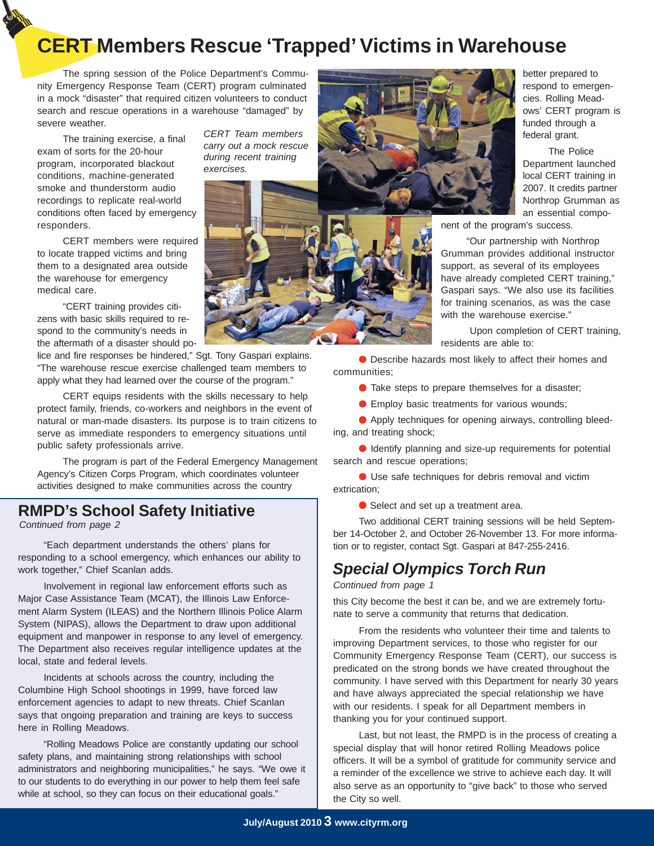# **CERT Members Rescue 'Trapped' Victims in Warehouse**

*CERT Team members carry out a mock rescue during recent training*

*exercises.*

The spring session of the Police Department's Community Emergency Response Team (CERT) program culminated in a mock "disaster" that required citizen volunteers to conduct search and rescue operations in a warehouse "damaged" by severe weather.

The training exercise, a final exam of sorts for the 20-hour program, incorporated blackout conditions, machine-generated smoke and thunderstorm audio recordings to replicate real-world conditions often faced by emergency responders.

CERT members were required to locate trapped victims and bring them to a designated area outside the warehouse for emergency medical care.

"CERT training provides citizens with basic skills required to respond to the community's needs in the aftermath of a disaster should po-

lice and fire responses be hindered." Sgt. Tony Gaspari explains. "The warehouse rescue exercise challenged team members to apply what they had learned over the course of the program."

CERT equips residents with the skills necessary to help protect family, friends, co-workers and neighbors in the event of natural or man-made disasters. Its purpose is to train citizens to serve as immediate responders to emergency situations until public safety professionals arrive.

The program is part of the Federal Emergency Management Agency's Citizen Corps Program, which coordinates volunteer activities designed to make communities across the country

**RMPD's School Safety Initiative**

*Continued from page 2*

responding to a school emergency, which enhances our ability to work together," Chief Scanlan adds.

Involvement in regional law enforcement efforts such as Major Case Assistance Team (MCAT), the Illinois Law Enforcement Alarm System (ILEAS) and the Northern Illinois Police Alarm System (NIPAS), allows the Department to draw upon additional equipment and manpower in response to any level of emergency. The Department also receives regular intelligence updates at the local, state and federal levels.

Incidents at schools across the country, including the Columbine High School shootings in 1999, have forced law enforcement agencies to adapt to new threats. Chief Scanlan says that ongoing preparation and training are keys to success here in Rolling Meadows.

"Rolling Meadows Police are constantly updating our school safety plans, and maintaining strong relationships with school administrators and neighboring municipalities," he says. "We owe it to our students to do everything in our power to help them feel safe while at school, so they can focus on their educational goals."



better prepared to respond to emergencies. Rolling Meadows' CERT program is funded through a federal grant.

The Police Department launched local CERT training in 2007. It credits partner Northrop Grumman as an essential compo-

nent of the program's success.

"Our partnership with Northrop Grumman provides additional instructor support, as several of its employees have already completed CERT training," Gaspari says. "We also use its facilities for training scenarios, as was the case with the warehouse exercise."

 Upon completion of CERT training, residents are able to:

● Describe hazards most likely to affect their homes and communities;

● Take steps to prepare themselves for a disaster;

● Employ basic treatments for various wounds;

● Apply techniques for opening airways, controlling bleeding, and treating shock;

● Identify planning and size-up requirements for potential search and rescue operations;

● Use safe techniques for debris removal and victim extrication;

● Select and set up a treatment area.

Two additional CERT training sessions will be held September 14-October 2, and October 26-November 13. For more informa- "Each department understands the others' plans for **the set of the other contact Sgt. Gaspari at 847-255-2416.** 

### *Special Olympics Torch Run*

#### *Continued from page 1*

this City become the best it can be, and we are extremely fortunate to serve a community that returns that dedication.

From the residents who volunteer their time and talents to improving Department services, to those who register for our Community Emergency Response Team (CERT), our success is predicated on the strong bonds we have created throughout the community. I have served with this Department for nearly 30 years and have always appreciated the special relationship we have with our residents. I speak for all Department members in thanking you for your continued support.

Last, but not least, the RMPD is in the process of creating a special display that will honor retired Rolling Meadows police officers. It will be a symbol of gratitude for community service and a reminder of the excellence we strive to achieve each day. It will also serve as an opportunity to "give back" to those who served the City so well.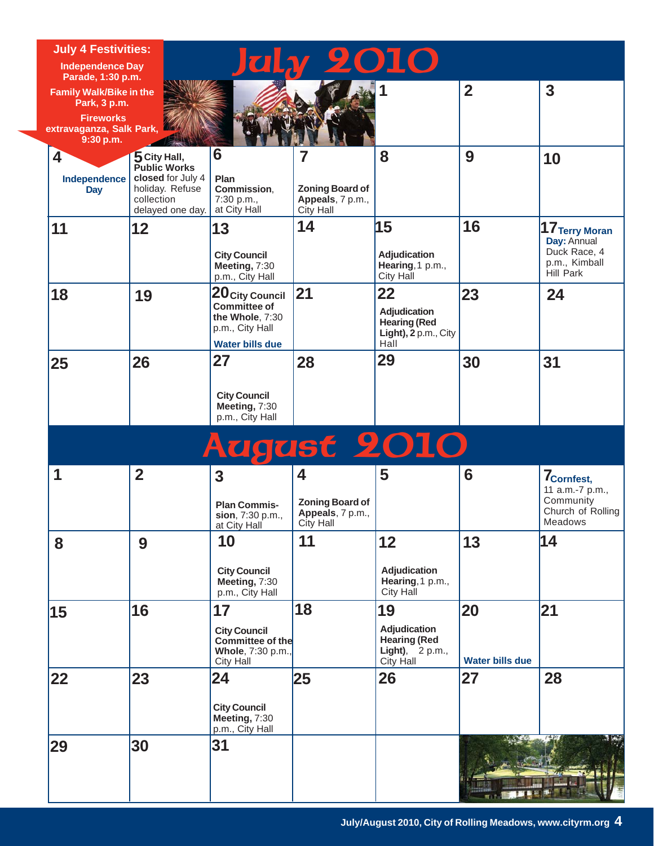| <b>July 4 Festivities:</b>                                          |                                                                        | <b>July 2010</b>                                                                    |                                                                |                                                                       |                        |                                                                                        |
|---------------------------------------------------------------------|------------------------------------------------------------------------|-------------------------------------------------------------------------------------|----------------------------------------------------------------|-----------------------------------------------------------------------|------------------------|----------------------------------------------------------------------------------------|
| <b>Independence Day</b>                                             |                                                                        |                                                                                     |                                                                |                                                                       |                        |                                                                                        |
| Parade, 1:30 p.m.<br><b>Family Walk/Bike in the</b><br>Park, 3 p.m. |                                                                        |                                                                                     |                                                                |                                                                       | $\overline{2}$         | $\overline{\mathbf{3}}$                                                                |
| <b>Fireworks</b><br>extravaganza, Salk Park,<br>9:30 p.m.           |                                                                        |                                                                                     |                                                                |                                                                       |                        |                                                                                        |
| 4                                                                   | 5 City Hall,<br><b>Public Works</b>                                    | 6                                                                                   | 7                                                              | 8                                                                     | 9                      | 10                                                                                     |
| Independence<br><b>Day</b>                                          | closed for July 4<br>holiday. Refuse<br>collection<br>delayed one day. | Plan<br>Commission,<br>7:30 p.m.,<br>at City Hall                                   | <b>Zoning Board of</b><br>Appeals, 7 p.m.,<br><b>City Hall</b> |                                                                       |                        |                                                                                        |
| 11                                                                  | 12                                                                     | 13                                                                                  | 14                                                             | 15                                                                    | 16                     | $17$ Terry Moran                                                                       |
|                                                                     |                                                                        | <b>City Council</b><br>Meeting, 7:30<br>p.m., City Hall                             |                                                                | Adjudication<br>Hearing, 1 p.m.,<br><b>City Hall</b>                  |                        | Day: Annual<br>Duck Race, 4<br>p.m., Kimball<br>Hill Park                              |
| 18                                                                  | 19                                                                     | 20 City Council                                                                     | 21                                                             | 22                                                                    | 23                     | 24                                                                                     |
|                                                                     |                                                                        | <b>Committee of</b><br>the Whole, 7:30<br>p.m., City Hall<br><b>Water bills due</b> |                                                                | Adjudication<br><b>Hearing (Red</b><br>Light), 2 p.m., City<br>Hall   |                        |                                                                                        |
| 25                                                                  | 26                                                                     | 27                                                                                  | 28                                                             | 29                                                                    | 30                     | 31                                                                                     |
|                                                                     |                                                                        | <b>City Council</b><br>Meeting, 7:30<br>p.m., City Hall                             |                                                                |                                                                       |                        |                                                                                        |
|                                                                     |                                                                        |                                                                                     |                                                                | <b>August 2010</b>                                                    |                        |                                                                                        |
| 1                                                                   | $\overline{2}$                                                         | 3<br><b>Plan Commis-</b><br>sion, 7:30 p.m.,<br>at City Hall                        | 4<br><b>Zoning Board of</b><br>Appeals, 7 p.m.,<br>City Hall   | 5                                                                     | 6                      | 7 <sub>Cornfest,</sub><br>11 a.m.-7 p.m.,<br>Community<br>Church of Rolling<br>Meadows |
| 8                                                                   | 9                                                                      | 10                                                                                  | 11                                                             | 12                                                                    | 13                     | 14                                                                                     |
|                                                                     |                                                                        | <b>City Council</b><br>Meeting, 7:30<br>p.m., City Hall                             |                                                                | <b>Adjudication</b><br>Hearing, 1 p.m.,<br>City Hall                  |                        |                                                                                        |
| 15                                                                  | 16                                                                     | 17                                                                                  | 18                                                             | 19                                                                    | 20                     | 21                                                                                     |
|                                                                     |                                                                        | <b>City Council</b><br>Committee of the<br>Whole, 7:30 p.m.,<br>City Hall           |                                                                | Adjudication<br><b>Hearing (Red</b><br>Light), $2 p.m.,$<br>City Hall | <b>Water bills due</b> |                                                                                        |
| 22                                                                  | 23                                                                     | 24                                                                                  | 25                                                             | 26                                                                    | 27                     | 28                                                                                     |
|                                                                     |                                                                        | <b>City Council</b><br>Meeting, 7:30<br>p.m., City Hall                             |                                                                |                                                                       |                        |                                                                                        |
| 29                                                                  | 30                                                                     | 31                                                                                  |                                                                |                                                                       |                        |                                                                                        |
|                                                                     |                                                                        |                                                                                     |                                                                |                                                                       |                        |                                                                                        |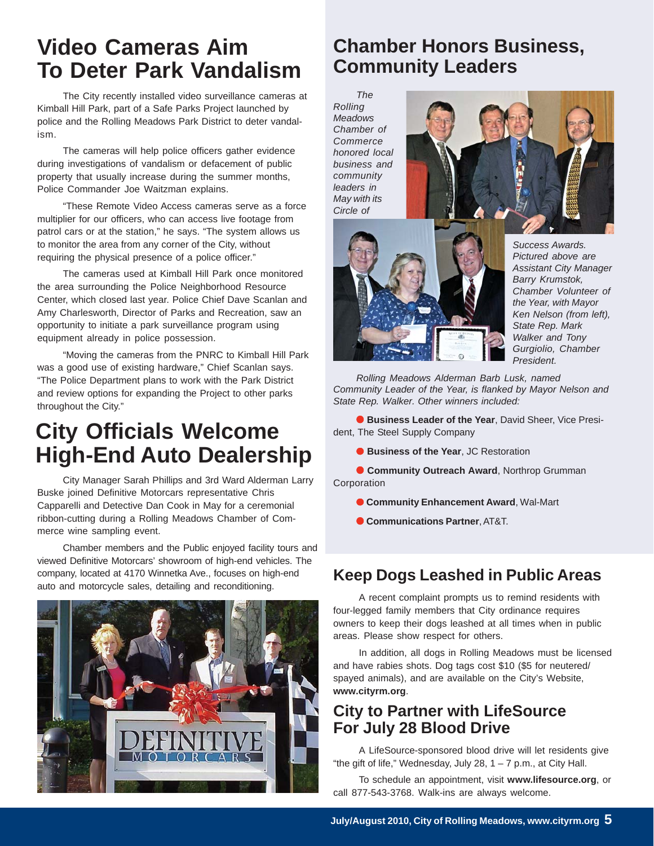## **Video Cameras Aim To Deter Park Vandalism**

The City recently installed video surveillance cameras at Kimball Hill Park, part of a Safe Parks Project launched by police and the Rolling Meadows Park District to deter vandalism.

The cameras will help police officers gather evidence during investigations of vandalism or defacement of public property that usually increase during the summer months, Police Commander Joe Waitzman explains.

"These Remote Video Access cameras serve as a force multiplier for our officers, who can access live footage from patrol cars or at the station," he says. "The system allows us to monitor the area from any corner of the City, without requiring the physical presence of a police officer."

The cameras used at Kimball Hill Park once monitored the area surrounding the Police Neighborhood Resource Center, which closed last year. Police Chief Dave Scanlan and Amy Charlesworth, Director of Parks and Recreation, saw an opportunity to initiate a park surveillance program using equipment already in police possession.

"Moving the cameras from the PNRC to Kimball Hill Park was a good use of existing hardware," Chief Scanlan says. "The Police Department plans to work with the Park District and review options for expanding the Project to other parks throughout the City."

# **City Officials Welcome High-End Auto Dealership**

City Manager Sarah Phillips and 3rd Ward Alderman Larry Buske joined Definitive Motorcars representative Chris Capparelli and Detective Dan Cook in May for a ceremonial ribbon-cutting during a Rolling Meadows Chamber of Commerce wine sampling event.

Chamber members and the Public enjoyed facility tours and viewed Definitive Motorcars' showroom of high-end vehicles. The company, located at 4170 Winnetka Ave., focuses on high-end auto and motorcycle sales, detailing and reconditioning.



### **Chamber Honors Business, Community Leaders**

*The Rolling Meadows Chamber of Commerce honored local business and community leaders in May with its Circle of*





*Success Awards. Pictured above are Assistant City Manager Barry Krumstok, Chamber Volunteer of the Year, with Mayor Ken Nelson (from left), State Rep. Mark Walker and Tony Gurgiolio, Chamber President.*

*Rolling Meadows Alderman Barb Lusk, named Community Leader of the Year, is flanked by Mayor Nelson and State Rep. Walker. Other winners included:*

● **Business Leader of the Year**, David Sheer, Vice President, The Steel Supply Company

● **Business of the Year**, JC Restoration

● **Community Outreach Award**, Northrop Grumman Corporation

- **Community Enhancement Award**, Wal-Mart
- **Communications Partner**, AT&T.

#### **Keep Dogs Leashed in Public Areas**

A recent complaint prompts us to remind residents with four-legged family members that City ordinance requires owners to keep their dogs leashed at all times when in public areas. Please show respect for others.

In addition, all dogs in Rolling Meadows must be licensed and have rabies shots. Dog tags cost \$10 (\$5 for neutered/ spayed animals), and are available on the City's Website, **www.cityrm.org**.

#### **City to Partner with LifeSource For July 28 Blood Drive**

A LifeSource-sponsored blood drive will let residents give "the gift of life," Wednesday, July 28,  $1 - 7$  p.m., at City Hall.

To schedule an appointment, visit **www.lifesource.org**, or call 877-543-3768. Walk-ins are always welcome.